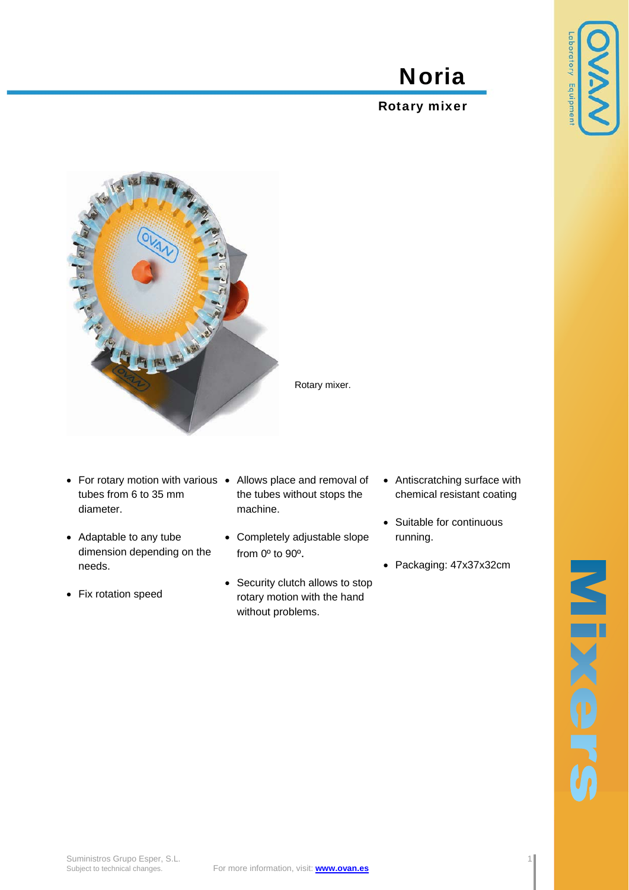## Noria

## Rotary mixer



- For rotary motion with various Allows place and removal of tubes from 6 to 35 mm diameter.
- Adaptable to any tube dimension depending on the needs.
- Fix rotation speed
- the tubes without stops the machine.
- Completely adjustable slope from 0º to 90º.
- Security clutch allows to stop rotary motion with the hand without problems.
- Antiscratching surface with chemical resistant coating
- Suitable for continuous running.
- Packaging: 47x37x32cm

boratory Equipment